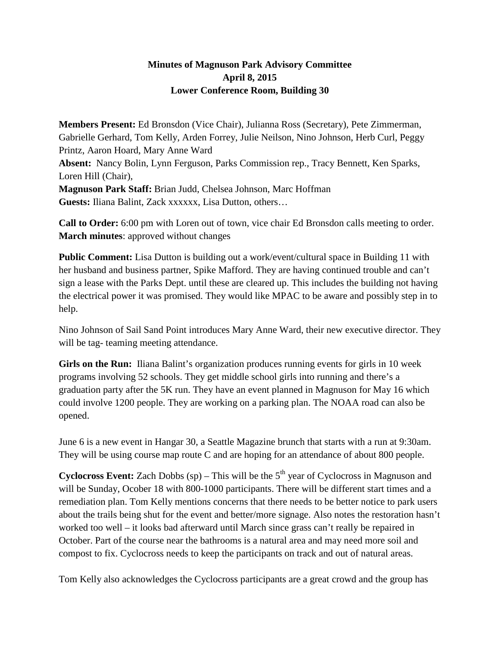## **Minutes of Magnuson Park Advisory Committee April 8, 2015 Lower Conference Room, Building 30**

**Members Present:** Ed Bronsdon (Vice Chair), Julianna Ross (Secretary), Pete Zimmerman, Gabrielle Gerhard, Tom Kelly, Arden Forrey, Julie Neilson, Nino Johnson, Herb Curl, Peggy Printz, Aaron Hoard, Mary Anne Ward **Absent:** Nancy Bolin, Lynn Ferguson, Parks Commission rep., Tracy Bennett, Ken Sparks, Loren Hill (Chair), **Magnuson Park Staff:** Brian Judd, Chelsea Johnson, Marc Hoffman **Guests:** Iliana Balint, Zack xxxxxx, Lisa Dutton, others…

**Call to Order:** 6:00 pm with Loren out of town, vice chair Ed Bronsdon calls meeting to order. **March minutes**: approved without changes

**Public Comment:** Lisa Dutton is building out a work/event/cultural space in Building 11 with her husband and business partner, Spike Mafford. They are having continued trouble and can't sign a lease with the Parks Dept. until these are cleared up. This includes the building not having the electrical power it was promised. They would like MPAC to be aware and possibly step in to help.

Nino Johnson of Sail Sand Point introduces Mary Anne Ward, their new executive director. They will be tag- teaming meeting attendance.

**Girls on the Run:** Iliana Balint's organization produces running events for girls in 10 week programs involving 52 schools. They get middle school girls into running and there's a graduation party after the 5K run. They have an event planned in Magnuson for May 16 which could involve 1200 people. They are working on a parking plan. The NOAA road can also be opened.

June 6 is a new event in Hangar 30, a Seattle Magazine brunch that starts with a run at 9:30am. They will be using course map route C and are hoping for an attendance of about 800 people.

**Cyclocross Event:** Zach Dobbs (sp) – This will be the 5<sup>th</sup> year of Cyclocross in Magnuson and will be Sunday, Ocober 18 with 800-1000 participants. There will be different start times and a remediation plan. Tom Kelly mentions concerns that there needs to be better notice to park users about the trails being shut for the event and better/more signage. Also notes the restoration hasn't worked too well – it looks bad afterward until March since grass can't really be repaired in October. Part of the course near the bathrooms is a natural area and may need more soil and compost to fix. Cyclocross needs to keep the participants on track and out of natural areas.

Tom Kelly also acknowledges the Cyclocross participants are a great crowd and the group has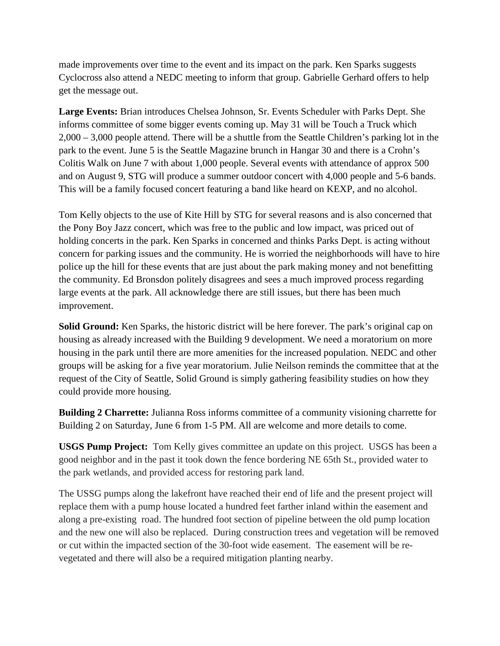made improvements over time to the event and its impact on the park. Ken Sparks suggests Cyclocross also attend a NEDC meeting to inform that group. Gabrielle Gerhard offers to help get the message out.

**Large Events:** Brian introduces Chelsea Johnson, Sr. Events Scheduler with Parks Dept. She informs committee of some bigger events coming up. May 31 will be Touch a Truck which 2,000 – 3,000 people attend. There will be a shuttle from the Seattle Children's parking lot in the park to the event. June 5 is the Seattle Magazine brunch in Hangar 30 and there is a Crohn's Colitis Walk on June 7 with about 1,000 people. Several events with attendance of approx 500 and on August 9, STG will produce a summer outdoor concert with 4,000 people and 5-6 bands. This will be a family focused concert featuring a band like heard on KEXP, and no alcohol.

Tom Kelly objects to the use of Kite Hill by STG for several reasons and is also concerned that the Pony Boy Jazz concert, which was free to the public and low impact, was priced out of holding concerts in the park. Ken Sparks in concerned and thinks Parks Dept. is acting without concern for parking issues and the community. He is worried the neighborhoods will have to hire police up the hill for these events that are just about the park making money and not benefitting the community. Ed Bronsdon politely disagrees and sees a much improved process regarding large events at the park. All acknowledge there are still issues, but there has been much improvement.

**Solid Ground:** Ken Sparks, the historic district will be here forever. The park's original cap on housing as already increased with the Building 9 development. We need a moratorium on more housing in the park until there are more amenities for the increased population. NEDC and other groups will be asking for a five year moratorium. Julie Neilson reminds the committee that at the request of the City of Seattle, Solid Ground is simply gathering feasibility studies on how they could provide more housing.

**Building 2 Charrette:** Julianna Ross informs committee of a community visioning charrette for Building 2 on Saturday, June 6 from 1-5 PM. All are welcome and more details to come.

**USGS Pump Project:** Tom Kelly gives committee an update on this project. USGS has been a good neighbor and in the past it took down the fence bordering NE 65th St., provided water to the park wetlands, and provided access for restoring park land.

The USSG pumps along the lakefront have reached their end of life and the present project will replace them with a pump house located a hundred feet farther inland within the easement and along a pre-existing road. The hundred foot section of pipeline between the old pump location and the new one will also be replaced. During construction trees and vegetation will be removed or cut within the impacted section of the 30-foot wide easement. The easement will be revegetated and there will also be a required mitigation planting nearby.